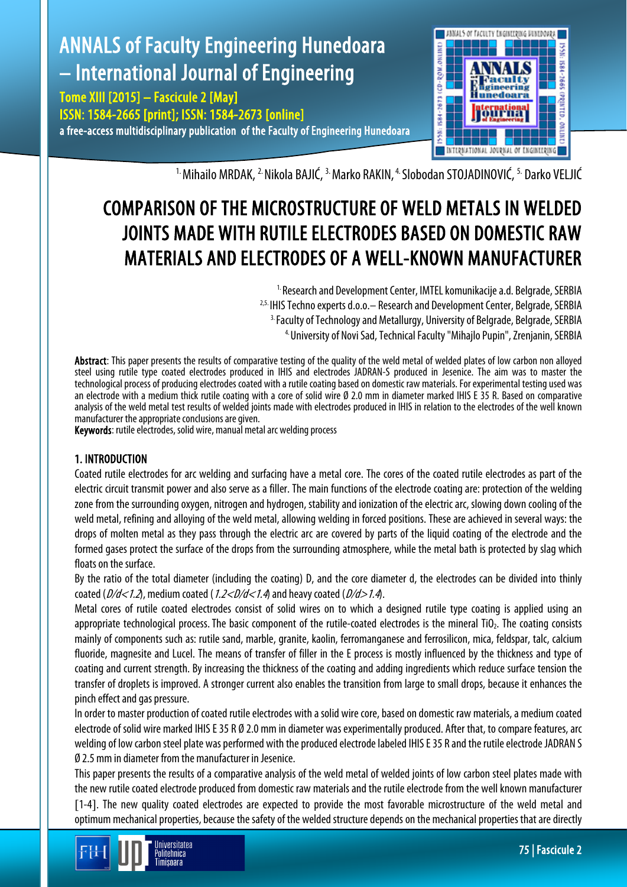

<sup>1.</sup> Mihailo MRDAK, <sup>2.</sup> Nikola BAJIĆ, <sup>3.</sup> Marko RAKIN, <sup>4.</sup> Slobodan STOJADINOVIĆ, <sup>5.</sup> Darko VELJIĆ

# COMPARISON OF THE MICROSTRUCTURE OF WELD METALS IN WELDED JOINTS MADE WITH RUTILE ELECTRODES BASED ON DOMESTIC RAW MATERIALS AND ELECTRODES OF A WELL-KNOWN MANUFACTURER

<sup>1.</sup> Research and Development Center, IMTEL komunikacije a.d. Belgrade, SERBIA <sup>2,5.</sup> IHIS Techno experts d.o.o. – Research and Development Center, Belgrade, SERBIA <sup>3.</sup> Faculty of Technology and Metallurgy, University of Belgrade, Belgrade, SERBIA 4. University of Novi Sad, Technical Faculty "Mihajlo Pupin", Zrenjanin, SERBIA

Abstract: This paper presents the results of comparative testing of the quality of the weld metal of welded plates of low carbon non alloyed steel using rutile type coated electrodes produced in IHIS and electrodes JADRAN-S produced in Jesenice. The aim was to master the technological process of producing electrodes coated with a rutile coating based on domestic raw materials. For experimental testing used was an electrode with a medium thick rutile coating with a core of solid wire Ø 2.0 mm in diameter marked IHIS E 35 R. Based on comparative analysis of the weld metal test results of welded joints made with electrodes produced in IHIS in relation to the electrodes of the well known manufacturer the appropriate conclusions are given.

Keywords: rutile electrodes, solid wire, manual metal arc welding process

## 1. INTRODUCTION

Coated rutile electrodes for arc welding and surfacing have a metal core. The cores of the coated rutile electrodes as part of the electric circuit transmit power and also serve as a filler. The main functions of the electrode coating are: protection of the welding zone from the surrounding oxygen, nitrogen and hydrogen, stability and ionization of the electric arc, slowing down cooling of the weld metal, refining and alloying of the weld metal, allowing welding in forced positions. These are achieved in several ways: the drops of molten metal as they pass through the electric arc are covered by parts of the liquid coating of the electrode and the formed gases protect the surface of the drops from the surrounding atmosphere, while the metal bath is protected by slag which floats on the surface.

By the ratio of the total diameter (including the coating) D, and the core diameter d, the electrodes can be divided into thinly coated ( $D/d < 1.2$ ), medium coated ( $1.2 < D/d < 1.4$ ) and heavy coated ( $D/d > 1.4$ ).

Metal cores of rutile coated electrodes consist of solid wires on to which a designed rutile type coating is applied using an appropriate technological process. The basic component of the rutile-coated electrodes is the mineral TiO<sub>2</sub>. The coating consists mainly of components such as: rutile sand, marble, granite, kaolin, ferromanganese and ferrosilicon, mica, feldspar, talc, calcium fluoride, magnesite and Lucel. The means of transfer of filler in the E process is mostly influenced by the thickness and type of coating and current strength. By increasing the thickness of the coating and adding ingredients which reduce surface tension the transfer of droplets is improved. A stronger current also enables the transition from large to small drops, because it enhances the pinch effect and gas pressure.

In order to master production of coated rutile electrodes with a solid wire core, based on domestic raw materials, a medium coated electrode of solid wire marked IHIS E 35 R Ø 2.0 mm in diameter was experimentally produced. After that, to compare features, arc welding of low carbon steel plate was performed with the produced electrode labeled IHIS E 35 R and the rutile electrode JADRAN S Ø 2.5 mm in diameter from the manufacturer in Jesenice.

This paper presents the results of a comparative analysis of the weld metal of welded joints of low carbon steel plates made with the new rutile coated electrode produced from domestic raw materials and the rutile electrode from the well known manufacturer [1-4]. The new quality coated electrodes are expected to provide the most favorable microstructure of the weld metal and optimum mechanical properties, because the safety of the welded structure depends on the mechanical properties that are directly

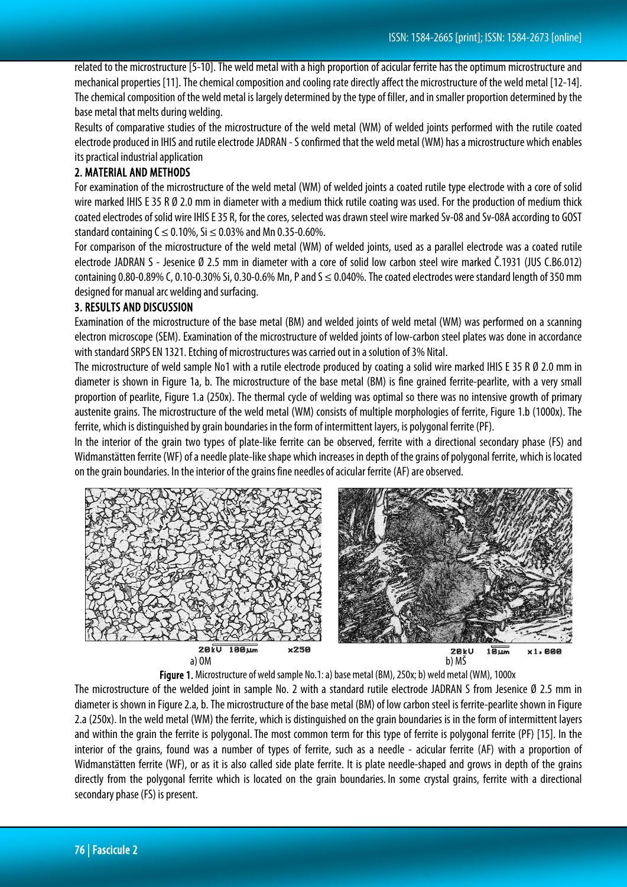related to the microstructure [5-10]. The weld metal with a high proportion of acicular ferrite has the optimum microstructure and mechanical properties [11]. The chemical composition and cooling rate directly affect the microstructure of the weld metal [12-14]. The chemical composition of the weld metal is largely determined by the type of filler, and in smaller proportion determined by the base metal that melts during welding.

Results of comparative studies of the microstructure of the weld metal (WM) of welded joints performed with the rutile coated electrode produced in IHIS and rutile electrode JADRAN -S confirmed that the weld metal (WM) has a microstructure which enables its practical industrial application

## 2. MATERIAL AND METHODS

For examination of the microstructure of the weld metal (WM) of welded joints a coated rutile type electrode with a core of solid wire marked IHIS E 35 R Ø 2.0 mm in diameter with a medium thick rutile coating was used. For the production of medium thick coated electrodes of solid wire IHIS E 35 R, for the cores, selected was drawn steel wire marked Sv-08 and Sv-08A according to GOST standard containing  $C \le 0.10\%$ , Si  $\le 0.03\%$  and Mn 0.35-0.60%.

For comparison of the microstructure of the weld metal (WM) of welded joints, used as a parallel electrode was a coated rutile electrode JADRAN S - Jesenice Ø 2.5 mm in diameter with a core of solid low carbon steel wire marked Č.1931 (JUS C.B6.012) containing 0.80-0.89% C, 0.10-0.30% Si, 0.30-0.6% Mn, P and  $S \le 0.040$ %. The coated electrodes were standard length of 350 mm designed for manual arc welding and surfacing.

#### 3. RESULTS AND DISCUSSION

Examination of the microstructure of the base metal (BM) and welded joints of weld metal (WM) was performed on a scanning electron microscope (SEM). Examination of the microstructure of welded joints of low-carbon steel plates was done in accordance with standard SRPS EN 1321. Etching of microstructures was carried out in a solution of 3% Nital.

The microstructure of weld sample No1 with a rutile electrode produced by coating a solid wire marked IHIS E 35 R Ø 2.0 mm in diameter is shown in Figure 1a, b. The microstructure of the base metal (BM) is fine grained ferrite-pearlite, with a very small proportion of pearlite, Figure 1.a (250x). The thermal cycle of welding was optimal so there was no intensive growth of primary austenite grains. The microstructure of the weld metal (WM) consists of multiple morphologies of ferrite, Figure 1.b (1000x). The ferrite, which is distinguished by grain boundaries in the form of intermittent layers, is polygonal ferrite (PF).

In the interior of the grain two types of plate-like ferrite can be observed, ferrite with a directional secondary phase (FS) and Widmanstätten ferrite (WF) of a needle plate-like shape which increases in depth of the grains of polygonal ferrite, which is located on the grain boundaries. In the interior of the grains fine needles of acicular ferrite (AF) are observed.



Figure 1. Microstructure of weld sample No.1: a) base metal (BM), 250x;b) weld metal (WM), 1000x

The microstructure of the welded joint in sample No. 2 with a standard rutile electrode JADRAN S from Jesenice Ø 2.5 mm in diameter is shown in Figure 2.a, b. The microstructure of the base metal (BM) of low carbon steel is ferrite-pearlite shown in Figure 2.a (250x). In the weld metal (WM) the ferrite, which is distinguished on the grain boundaries is in the form of intermittent layers and within the grain the ferrite is polygonal.The most common term for this type of ferrite is polygonal ferrite (PF) [15]. In the interior of the grains, found was a number of types of ferrite, such as a needle - acicular ferrite (AF) with a proportion of Widmanstätten ferrite (WF), or as it is also called side plate ferrite. It is plate needle-shaped and grows in depth of the grains directly from the polygonal ferrite which is located on the grain boundaries. In some crystal grains, ferrite with a directional secondary phase (FS) is present.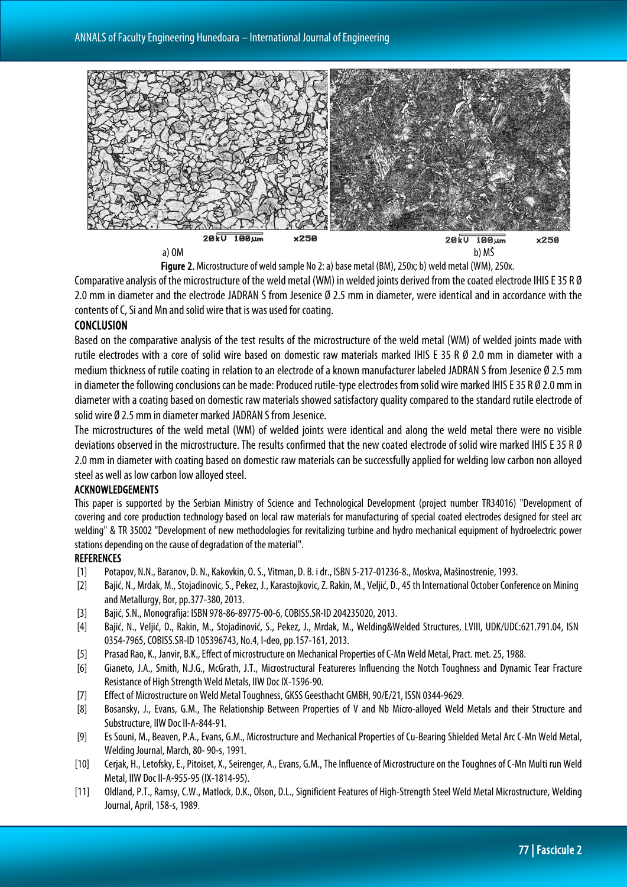

a) OM b) MŠ

Figure 2. Microstructure of weld sample No 2: a) base metal (BM), 250x; b) weld metal (WM), 250x. Comparative analysis of the microstructure of the weld metal (WM) in welded joints derived from the coated electrode IHIS E 35 R Ø 2.0 mm in diameter and the electrode JADRAN S from Jesenice Ø 2.5 mm in diameter, were identical and in accordance with the contents of C, Si and Mn and solid wire that is was used for coating.

### CONCLUSION

Based on the comparative analysis of the test results of the microstructure of the weld metal (WM) of welded joints made with rutile electrodes with a core of solid wire based on domestic raw materials marked IHIS E 35 R Ø 2.0 mm in diameter with a medium thickness of rutile coating in relation to an electrode of a known manufacturer labeled JADRAN S from Jesenice Ø 2.5 mm in diameter the following conclusions can be made: Produced rutile-type electrodes from solid wire marked IHIS E 35 R Ø 2.0 mm in diameter with a coating based on domestic raw materials showed satisfactory quality compared to the standard rutile electrode of solid wire Ø 2.5 mm in diameter marked JADRAN S from Jesenice.

The microstructures of the weld metal (WM) of welded joints were identical and along the weld metal there were no visible deviations observed in the microstructure. The results confirmed that the new coated electrode of solid wire marked IHIS E 35 R Ø 2.0 mm in diameter with coating based on domestic raw materials can be successfully applied for welding low carbon non alloyed steel as well as low carbon low alloyed steel.

#### ACKNOWLEDGEMENTS

This paper is supported by the Serbian Ministry of Science and Technological Development (project number TR34016) "Development of covering and core production technology based on local raw materials for manufacturing of special coated electrodes designed for steel arc welding" & TR 35002 "Development of new methodologies for revitalizing turbine and hydro mechanical equipment of hydroelectric power stations depending on the cause of degradation of the material".

#### **REFERENCES**

- [1] Potapov, N.N., Baranov, D. N., Kakovkin, O. S., Vitman, D. B. i dr., ISBN 5-217-01236-8., Moskva, Mašinostrenie, 1993.
- [2] Bajić, N., Mrdak, M., Stojadinovic, S., Pekez, J., Karastojkovic,Z. Rakin, M., Veljić, D.,45 th International October Conference on Mining and Metallurgy, Bor, pp.377-380, 2013.
- [3] Bajić, S.N., Monografija: ISBN 978-86-89775-00-6, COBISS.SR-ID 204235020, 2013.
- [4] Bajić, N., Veljić, D., Rakin, M., Stojadinović, S., Pekez, J., Mrdak, M., Welding&Welded Structures, LVIII, UDK/UDC:621.791.04, ISN 0354-7965, COBISS.SR-ID 105396743, No.4, I-deo, pp.157-161,2013.
- [5] Prasad Rao, K., Janvir, B.K., Effect of microstructure on Mechanical Properties of C-Mn Weld Metal, Pract. met. 25, 1988.
- [6] Gianeto, J.A., Smith, N.J.G., McGrath, J.T., Microstructural Featureres Influencing the Notch Toughness and Dynamic Tear Fracture Resistance of High Strength Weld Metals, IIW Doc IX-1596-90.
- [7] Effect of Microstructure on Weld Metal Toughness, GKSS Geesthacht GMBH, 90/E/21, ISSN 0344-9629.
- [8] Bosansky, J., Evans, G.M., The Relationship Between Properties of V and Nb Micro-alloyed Weld Metals and their Structure and Substructure, IIW Doc II-A-844-91.
- [9] Es Souni, M., Beaven, P.A., Evans, G.M., Microstructure and Mechanical Properties of Cu-Bearing Shielded Metal Arc C-Mn Weld Metal, Welding Journal, March, 80-90-s, 1991.
- [10] Cerjak, H.,Letofsky, E.,Pitoiset, X., Seirenger, A., Evans, G.M.,The Influence of Microstructure on the Toughnes of C-Mn Multi run Weld Metal, IIW Doc II-A-955-95 (IX-1814-95).
- [11] Oldland, P.T., Ramsy, C.W., Matlock, D.K., Olson, D.L., Significient Features of High-Strength Steel Weld Metal Microstructure, Welding Journal, April, 158-s, 1989.